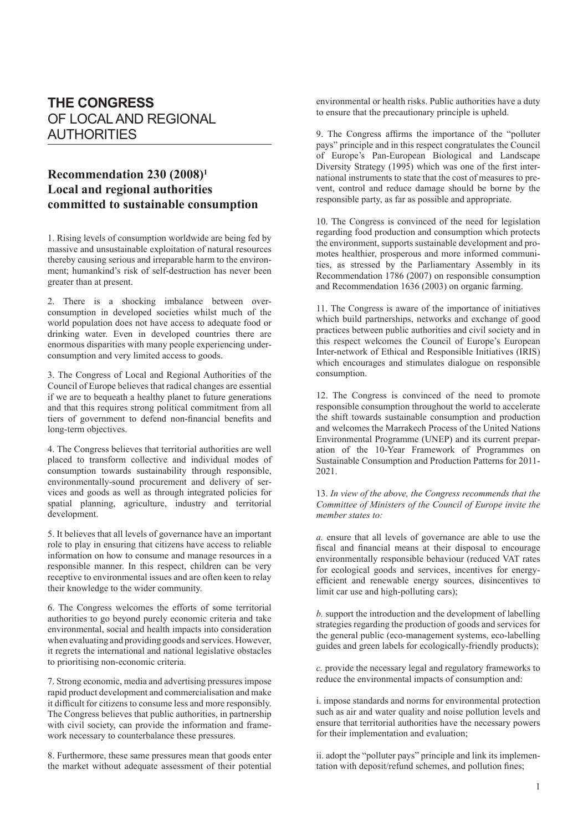## **THE CONGRESS** OF LOCAL AND REGIONAL AUTHORITIES

## **Recommendation 230 (2008)1 Local and regional authorities committed to sustainable consumption**

1. Rising levels of consumption worldwide are being fed by massive and unsustainable exploitation of natural resources thereby causing serious and irreparable harm to the environment; humankind's risk of self-destruction has never been greater than at present.

2. There is a shocking imbalance between overconsumption in developed societies whilst much of the world population does not have access to adequate food or drinking water. Even in developed countries there are enormous disparities with many people experiencing underconsumption and very limited access to goods.

3. The Congress of Local and Regional Authorities of the Council of Europe believes that radical changes are essential if we are to bequeath a healthy planet to future generations and that this requires strong political commitment from all tiers of government to defend non-financial benefits and long-term objectives.

4. The Congress believes that territorial authorities are well placed to transform collective and individual modes of consumption towards sustainability through responsible, environmentally-sound procurement and delivery of services and goods as well as through integrated policies for spatial planning, agriculture, industry and territorial development.

5. It believes that all levels of governance have an important role to play in ensuring that citizens have access to reliable information on how to consume and manage resources in a responsible manner. In this respect, children can be very receptive to environmental issues and are often keen to relay their knowledge to the wider community.

6. The Congress welcomes the efforts of some territorial authorities to go beyond purely economic criteria and take environmental, social and health impacts into consideration when evaluating and providing goods and services. However, it regrets the international and national legislative obstacles to prioritising non-economic criteria.

7. Strong economic, media and advertising pressures impose rapid product development and commercialisation and make it difficult for citizens to consume less and more responsibly. The Congress believes that public authorities, in partnership with civil society, can provide the information and framework necessary to counterbalance these pressures.

8. Furthermore, these same pressures mean that goods enter the market without adequate assessment of their potential environmental or health risks. Public authorities have a duty to ensure that the precautionary principle is upheld.

9. The Congress affirms the importance of the "polluter pays" principle and in this respect congratulates the Council of Europe's Pan-European Biological and Landscape Diversity Strategy (1995) which was one of the first international instruments to state that the cost of measures to prevent, control and reduce damage should be borne by the responsible party, as far as possible and appropriate.

10. The Congress is convinced of the need for legislation regarding food production and consumption which protects the environment, supports sustainable development and promotes healthier, prosperous and more informed communities, as stressed by the Parliamentary Assembly in its Recommendation 1786 (2007) on responsible consumption and Recommendation 1636 (2003) on organic farming.

11. The Congress is aware of the importance of initiatives which build partnerships, networks and exchange of good practices between public authorities and civil society and in this respect welcomes the Council of Europe's European Inter-network of Ethical and Responsible Initiatives (IRIS) which encourages and stimulates dialogue on responsible consumption.

12. The Congress is convinced of the need to promote responsible consumption throughout the world to accelerate the shift towards sustainable consumption and production and welcomes the Marrakech Process of the United Nations Environmental Programme (UNEP) and its current preparation of the 10-Year Framework of Programmes on Sustainable Consumption and Production Patterns for 2011- 2021.

## 13. *In view of the above, the Congress recommends that the Committee of Ministers of the Council of Europe invite the member states to:*

*a.* ensure that all levels of governance are able to use the fiscal and financial means at their disposal to encourage environmentally responsible behaviour (reduced VAT rates for ecological goods and services, incentives for energyefficient and renewable energy sources, disincentives to limit car use and high-polluting cars);

*b.* support the introduction and the development of labelling strategies regarding the production of goods and services for the general public (eco-management systems, eco-labelling guides and green labels for ecologically-friendly products);

*c.* provide the necessary legal and regulatory frameworks to reduce the environmental impacts of consumption and:

i. impose standards and norms for environmental protection such as air and water quality and noise pollution levels and ensure that territorial authorities have the necessary powers for their implementation and evaluation;

ii. adopt the "polluter pays" principle and link its implementation with deposit/refund schemes, and pollution fines;